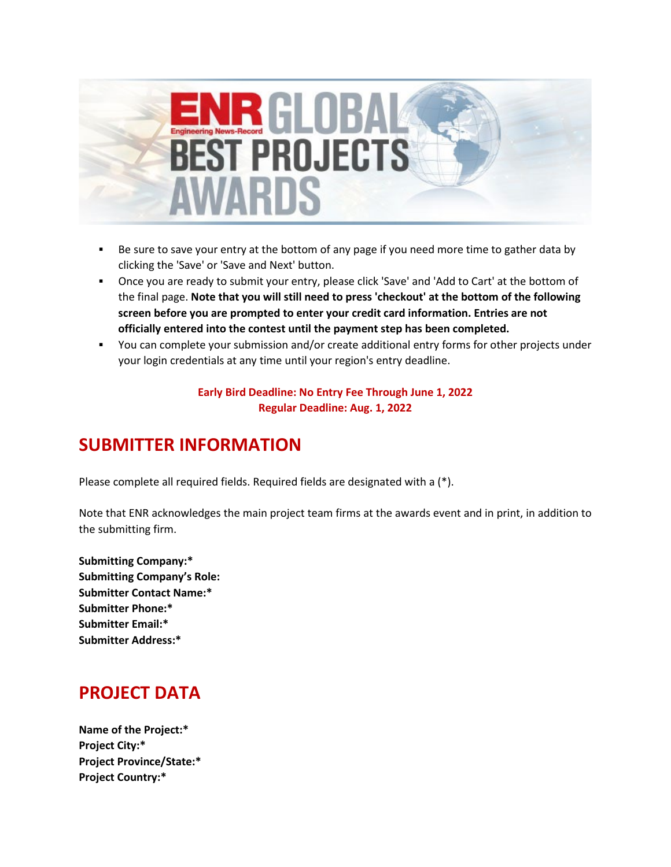

- Be sure to save your entry at the bottom of any page if you need more time to gather data by clicking the 'Save' or 'Save and Next' button.
- Once you are ready to submit your entry, please click 'Save' and 'Add to Cart' at the bottom of the final page. **Note that you will still need to press 'checkout' at the bottom of the following screen before you are prompted to enter your credit card information. Entries are not officially entered into the contest until the payment step has been completed.**
- You can complete your submission and/or create additional entry forms for other projects under your login credentials at any time until your region's entry deadline.

**Early Bird Deadline: No Entry Fee Through June 1, 2022 Regular Deadline: Aug. 1, 2022**

## **SUBMITTER INFORMATION**

Please complete all required fields. Required fields are designated with a (\*).

Note that ENR acknowledges the main project team firms at the awards event and in print, in addition to the submitting firm.

**Submitting Company:\* Submitting Company's Role: Submitter Contact Name:\* Submitter Phone:\* Submitter Email:\* Submitter Address:\***

# **PROJECT DATA**

**Name of the Project:\* Project City:\* Project Province/State:\* Project Country:\***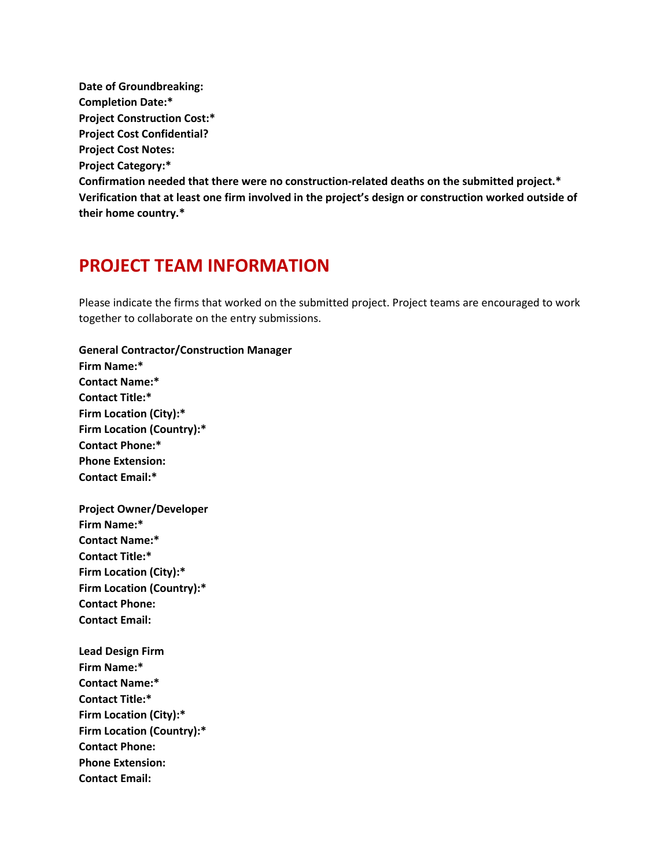**Date of Groundbreaking: Completion Date:\* Project Construction Cost:\* Project Cost Confidential? Project Cost Notes: Project Category:\* Confirmation needed that there were no construction-related deaths on the submitted project.\* Verification that at least one firm involved in the project's design or construction worked outside of their home country.\***

## **PROJECT TEAM INFORMATION**

Please indicate the firms that worked on the submitted project. Project teams are encouraged to work together to collaborate on the entry submissions.

**General Contractor/Construction Manager Firm Name:\* Contact Name:\* Contact Title:\* Firm Location (City):\* Firm Location (Country):\* Contact Phone:\* Phone Extension: Contact Email:\* Project Owner/Developer Firm Name:\***

**Contact Name:\* Contact Title:\* Firm Location (City):\* Firm Location (Country):\* Contact Phone: Contact Email:**

**Lead Design Firm Firm Name:\* Contact Name:\* Contact Title:\* Firm Location (City):\* Firm Location (Country):\* Contact Phone: Phone Extension: Contact Email:**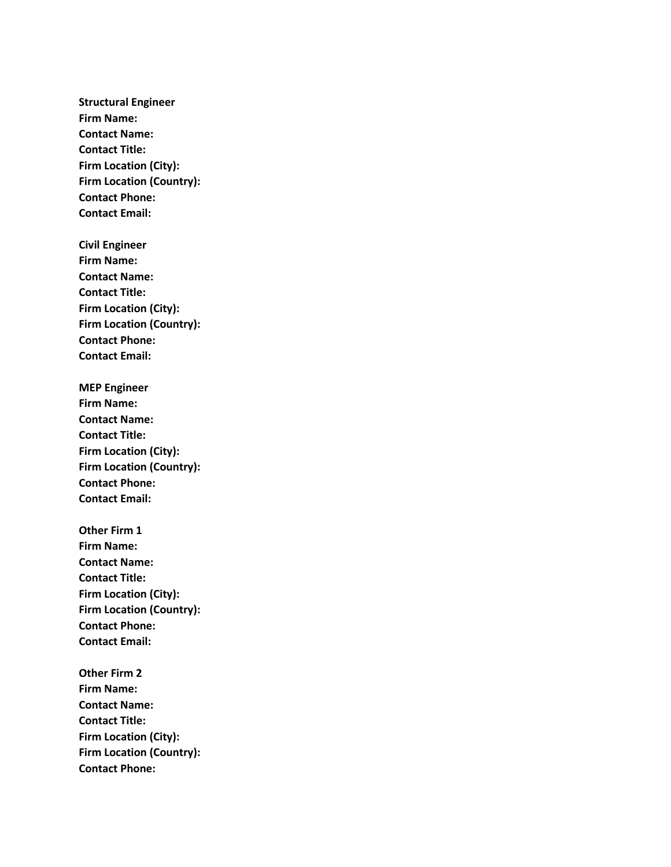**Structural Engineer Firm Name: Contact Name: Contact Title: Firm Location (City): Firm Location (Country): Contact Phone: Contact Email:**

**Civil Engineer Firm Name: Contact Name: Contact Title: Firm Location (City): Firm Location (Country): Contact Phone: Contact Email:**

**MEP Engineer Firm Name: Contact Name: Contact Title: Firm Location (City): Firm Location (Country): Contact Phone: Contact Email:**

**Other Firm 1 Firm Name: Contact Name: Contact Title: Firm Location (City): Firm Location (Country): Contact Phone: Contact Email:**

**Other Firm 2 Firm Name: Contact Name: Contact Title: Firm Location (City): Firm Location (Country): Contact Phone:**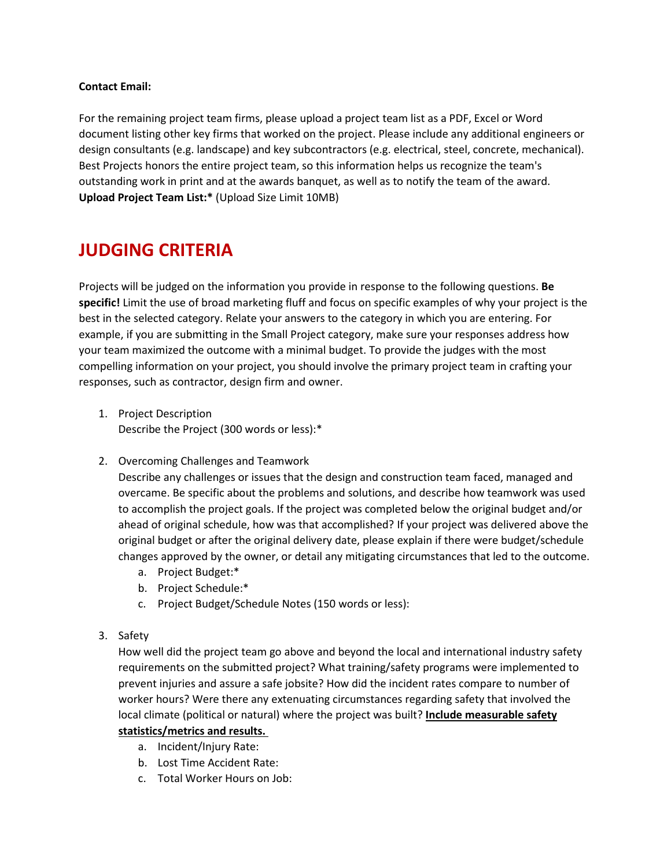### **Contact Email:**

For the remaining project team firms, please upload a project team list as a PDF, Excel or Word document listing other key firms that worked on the project. Please include any additional engineers or design consultants (e.g. landscape) and key subcontractors (e.g. electrical, steel, concrete, mechanical). Best Projects honors the entire project team, so this information helps us recognize the team's outstanding work in print and at the awards banquet, as well as to notify the team of the award. **Upload Project Team List:\*** (Upload Size Limit 10MB)

## **JUDGING CRITERIA**

Projects will be judged on the information you provide in response to the following questions. **Be specific!** Limit the use of broad marketing fluff and focus on specific examples of why your project is the best in the selected category. Relate your answers to the category in which you are entering. For example, if you are submitting in the Small Project category, make sure your responses address how your team maximized the outcome with a minimal budget. To provide the judges with the most compelling information on your project, you should involve the primary project team in crafting your responses, such as contractor, design firm and owner.

- 1. Project Description Describe the Project (300 words or less):\*
- 2. Overcoming Challenges and Teamwork

Describe any challenges or issues that the design and construction team faced, managed and overcame. Be specific about the problems and solutions, and describe how teamwork was used to accomplish the project goals. If the project was completed below the original budget and/or ahead of original schedule, how was that accomplished? If your project was delivered above the original budget or after the original delivery date, please explain if there were budget/schedule changes approved by the owner, or detail any mitigating circumstances that led to the outcome.

- a. Project Budget:\*
- b. Project Schedule:\*
- c. Project Budget/Schedule Notes (150 words or less):
- 3. Safety

How well did the project team go above and beyond the local and international industry safety requirements on the submitted project? What training/safety programs were implemented to prevent injuries and assure a safe jobsite? How did the incident rates compare to number of worker hours? Were there any extenuating circumstances regarding safety that involved the local climate (political or natural) where the project was built? **Include measurable safety** 

- **statistics/metrics and results.**
	- a. Incident/Injury Rate:
	- b. Lost Time Accident Rate:
	- c. Total Worker Hours on Job: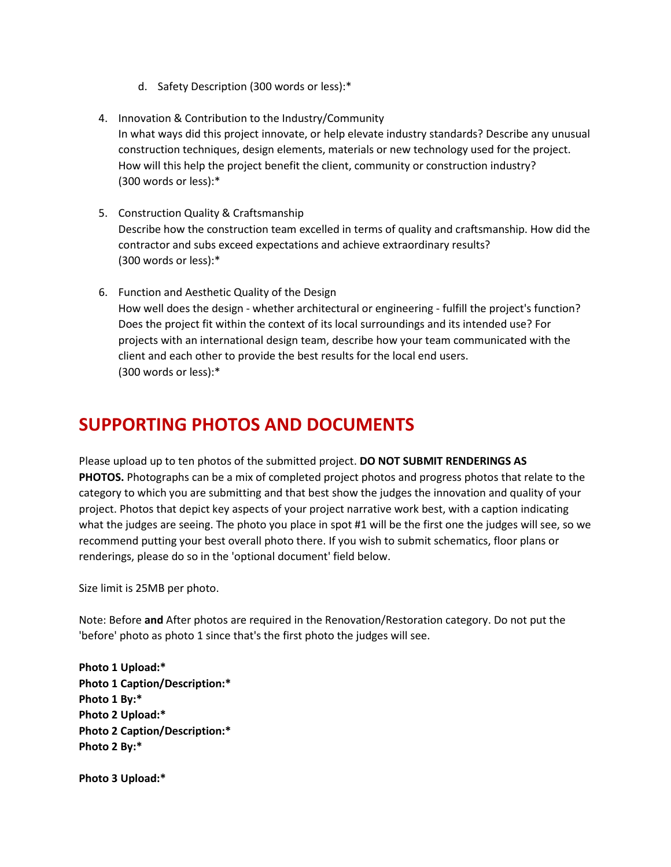- d. Safety Description (300 words or less):\*
- 4. Innovation & Contribution to the Industry/Community In what ways did this project innovate, or help elevate industry standards? Describe any unusual construction techniques, design elements, materials or new technology used for the project. How will this help the project benefit the client, community or construction industry? (300 words or less):\*
- 5. Construction Quality & Craftsmanship Describe how the construction team excelled in terms of quality and craftsmanship. How did the contractor and subs exceed expectations and achieve extraordinary results? (300 words or less):\*
- 6. Function and Aesthetic Quality of the Design How well does the design - whether architectural or engineering - fulfill the project's function? Does the project fit within the context of its local surroundings and its intended use? For projects with an international design team, describe how your team communicated with the client and each other to provide the best results for the local end users. (300 words or less):\*

## **SUPPORTING PHOTOS AND DOCUMENTS**

Please upload up to ten photos of the submitted project. **DO NOT SUBMIT RENDERINGS AS PHOTOS.** Photographs can be a mix of completed project photos and progress photos that relate to the category to which you are submitting and that best show the judges the innovation and quality of your project. Photos that depict key aspects of your project narrative work best, with a caption indicating what the judges are seeing. The photo you place in spot #1 will be the first one the judges will see, so we recommend putting your best overall photo there. If you wish to submit schematics, floor plans or renderings, please do so in the 'optional document' field below.

Size limit is 25MB per photo.

Note: Before **and** After photos are required in the Renovation/Restoration category. Do not put the 'before' photo as photo 1 since that's the first photo the judges will see.

**Photo 1 Upload:\* Photo 1 Caption/Description:\* Photo 1 By:\* Photo 2 Upload:\* Photo 2 Caption/Description:\* Photo 2 By:\***

**Photo 3 Upload:\***